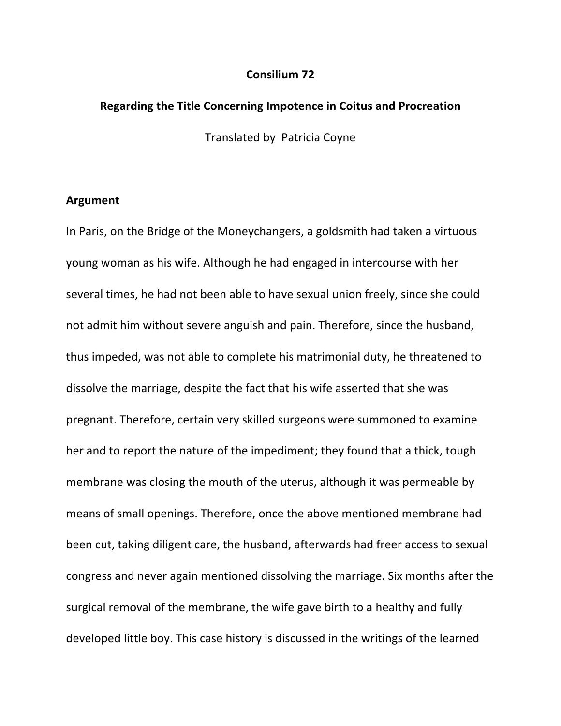## **Consilium 72**

## **Regarding the Title Concerning Impotence in Coitus and Procreation**

Translated by Patricia Coyne

## **Argument**

In Paris, on the Bridge of the Moneychangers, a goldsmith had taken a virtuous young woman as his wife. Although he had engaged in intercourse with her several times, he had not been able to have sexual union freely, since she could not admit him without severe anguish and pain. Therefore, since the husband, thus impeded, was not able to complete his matrimonial duty, he threatened to dissolve the marriage, despite the fact that his wife asserted that she was pregnant. Therefore, certain very skilled surgeons were summoned to examine her and to report the nature of the impediment; they found that a thick, tough membrane was closing the mouth of the uterus, although it was permeable by means of small openings. Therefore, once the above mentioned membrane had been cut, taking diligent care, the husband, afterwards had freer access to sexual congress and never again mentioned dissolving the marriage. Six months after the surgical removal of the membrane, the wife gave birth to a healthy and fully developed little boy. This case history is discussed in the writings of the learned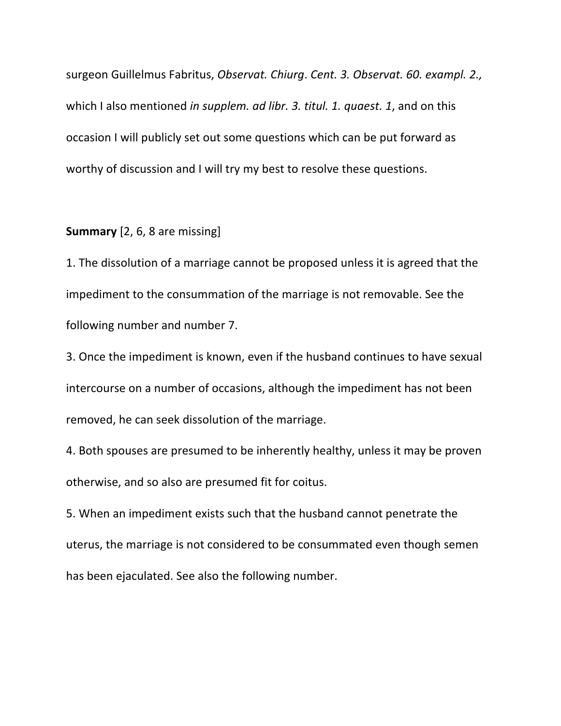surgeon Guillelmus Fabritus, *Observat. Chiurg*. *Cent. 3. Observat. 60. exampl. 2.,* which I also mentioned *in supplem. ad libr. 3. titul. 1. quaest. 1*, and on this occasion I will publicly set out some questions which can be put forward as worthy of discussion and I will try my best to resolve these questions.

## **Summary** [2, 6, 8 are missing]

1. The dissolution of a marriage cannot be proposed unless it is agreed that the impediment to the consummation of the marriage is not removable. See the following number and number 7.

3. Once the impediment is known, even if the husband continues to have sexual intercourse on a number of occasions, although the impediment has not been removed, he can seek dissolution of the marriage.

4. Both spouses are presumed to be inherently healthy, unless it may be proven otherwise, and so also are presumed fit for coitus.

5. When an impediment exists such that the husband cannot penetrate the uterus, the marriage is not considered to be consummated even though semen has been ejaculated. See also the following number.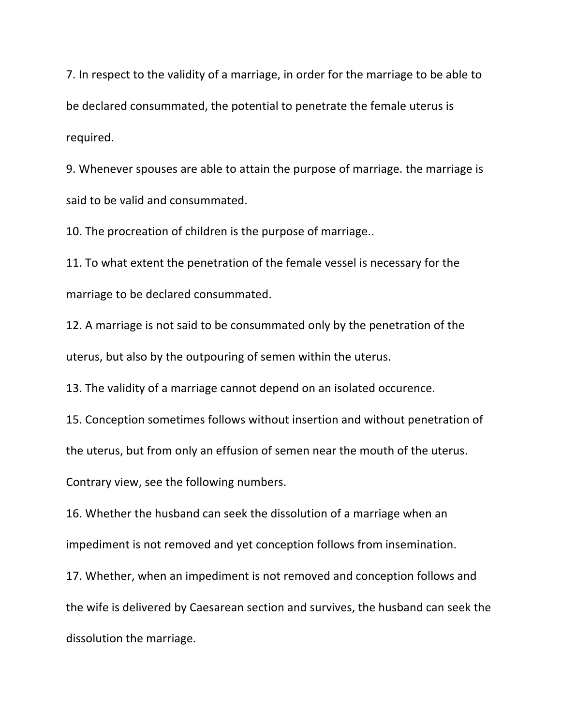7. In respect to the validity of a marriage, in order for the marriage to be able to be declared consummated, the potential to penetrate the female uterus is required.

9. Whenever spouses are able to attain the purpose of marriage. the marriage is said to be valid and consummated.

10. The procreation of children is the purpose of marriage..

11. To what extent the penetration of the female vessel is necessary for the marriage to be declared consummated.

12. A marriage is not said to be consummated only by the penetration of the uterus, but also by the outpouring of semen within the uterus.

13. The validity of a marriage cannot depend on an isolated occurence.

15. Conception sometimes follows without insertion and without penetration of the uterus, but from only an effusion of semen near the mouth of the uterus. Contrary view, see the following numbers.

16. Whether the husband can seek the dissolution of a marriage when an impediment is not removed and yet conception follows from insemination.

17. Whether, when an impediment is not removed and conception follows and the wife is delivered by Caesarean section and survives, the husband can seek the dissolution the marriage.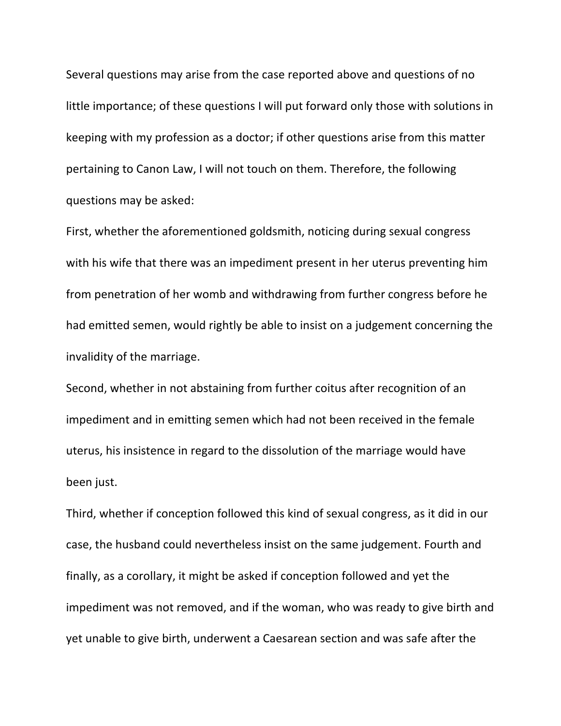Several questions may arise from the case reported above and questions of no little importance; of these questions I will put forward only those with solutions in keeping with my profession as a doctor; if other questions arise from this matter pertaining to Canon Law, I will not touch on them. Therefore, the following questions may be asked:

First, whether the aforementioned goldsmith, noticing during sexual congress with his wife that there was an impediment present in her uterus preventing him from penetration of her womb and withdrawing from further congress before he had emitted semen, would rightly be able to insist on a judgement concerning the invalidity of the marriage.

Second, whether in not abstaining from further coitus after recognition of an impediment and in emitting semen which had not been received in the female uterus, his insistence in regard to the dissolution of the marriage would have been just.

Third, whether if conception followed this kind of sexual congress, as it did in our case, the husband could nevertheless insist on the same judgement. Fourth and finally, as a corollary, it might be asked if conception followed and yet the impediment was not removed, and if the woman, who was ready to give birth and yet unable to give birth, underwent a Caesarean section and was safe after the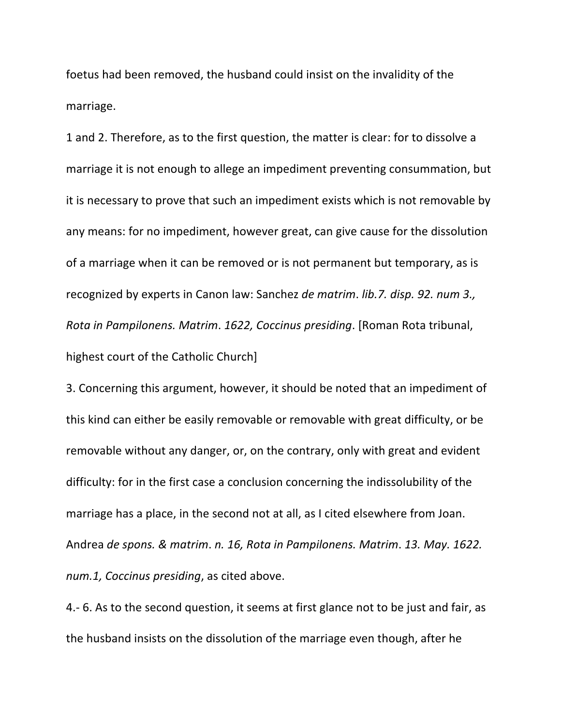foetus had been removed, the husband could insist on the invalidity of the marriage.

1 and 2. Therefore, as to the first question, the matter is clear: for to dissolve a marriage it is not enough to allege an impediment preventing consummation, but it is necessary to prove that such an impediment exists which is not removable by any means: for no impediment, however great, can give cause for the dissolution of a marriage when it can be removed or is not permanent but temporary, as is recognized by experts in Canon law: Sanchez *de matrim*. *lib.7. disp. 92. num 3., Rota in Pampilonens. Matrim*. *1622, Coccinus presiding*. [Roman Rota tribunal, highest court of the Catholic Church]

3. Concerning this argument, however, it should be noted that an impediment of this kind can either be easily removable or removable with great difficulty, or be removable without any danger, or, on the contrary, only with great and evident difficulty: for in the first case a conclusion concerning the indissolubility of the marriage has a place, in the second not at all, as I cited elsewhere from Joan. Andrea *de spons. & matrim*. *n. 16, Rota in Pampilonens. Matrim*. *13. May. 1622. num.1, Coccinus presiding*, as cited above.

4.- 6. As to the second question, it seems at first glance not to be just and fair, as the husband insists on the dissolution of the marriage even though, after he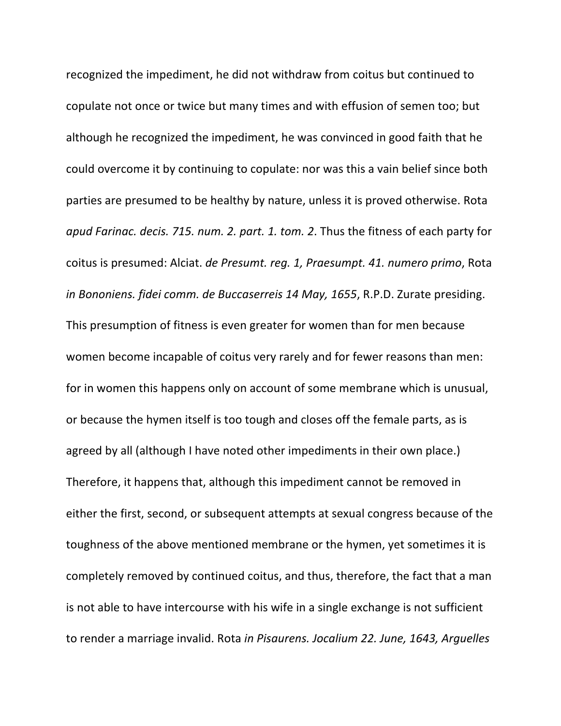recognized the impediment, he did not withdraw from coitus but continued to copulate not once or twice but many times and with effusion of semen too; but although he recognized the impediment, he was convinced in good faith that he could overcome it by continuing to copulate: nor was this a vain belief since both parties are presumed to be healthy by nature, unless it is proved otherwise. Rota *apud Farinac. decis. 715. num. 2. part. 1. tom. 2*. Thus the fitness of each party for coitus is presumed: Alciat. *de Presumt. reg. 1, Praesumpt. 41. numero primo*, Rota *in Bononiens. fidei comm. de Buccaserreis 14 May, 1655*, R.P.D. Zurate presiding. This presumption of fitness is even greater for women than for men because women become incapable of coitus very rarely and for fewer reasons than men: for in women this happens only on account of some membrane which is unusual, or because the hymen itself is too tough and closes off the female parts, as is agreed by all (although I have noted other impediments in their own place.) Therefore, it happens that, although this impediment cannot be removed in either the first, second, or subsequent attempts at sexual congress because of the toughness of the above mentioned membrane or the hymen, yet sometimes it is completely removed by continued coitus, and thus, therefore, the fact that a man is not able to have intercourse with his wife in a single exchange is not sufficient to render a marriage invalid. Rota *in Pisaurens. Jocalium 22. June, 1643, Arguelles*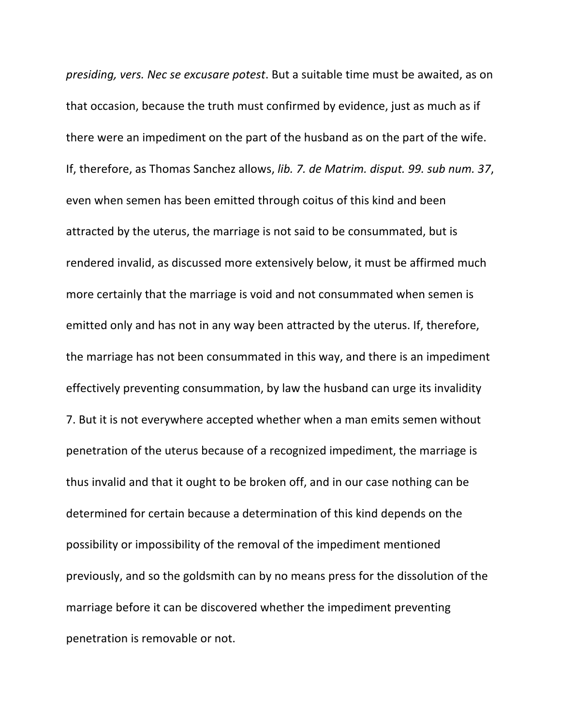*presiding, vers. Nec se excusare potest*. But a suitable time must be awaited, as on that occasion, because the truth must confirmed by evidence, just as much as if there were an impediment on the part of the husband as on the part of the wife. If, therefore, as Thomas Sanchez allows, *lib. 7. de Matrim. disput. 99. sub num. 37*, even when semen has been emitted through coitus of this kind and been attracted by the uterus, the marriage is not said to be consummated, but is rendered invalid, as discussed more extensively below, it must be affirmed much more certainly that the marriage is void and not consummated when semen is emitted only and has not in any way been attracted by the uterus. If, therefore, the marriage has not been consummated in this way, and there is an impediment effectively preventing consummation, by law the husband can urge its invalidity 7. But it is not everywhere accepted whether when a man emits semen without penetration of the uterus because of a recognized impediment, the marriage is thus invalid and that it ought to be broken off, and in our case nothing can be determined for certain because a determination of this kind depends on the possibility or impossibility of the removal of the impediment mentioned previously, and so the goldsmith can by no means press for the dissolution of the marriage before it can be discovered whether the impediment preventing penetration is removable or not.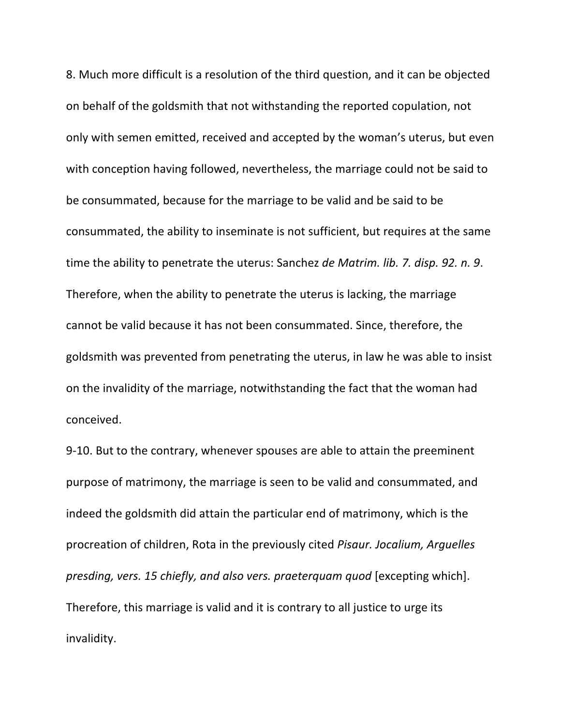8. Much more difficult is a resolution of the third question, and it can be objected on behalf of the goldsmith that not withstanding the reported copulation, not only with semen emitted, received and accepted by the woman's uterus, but even with conception having followed, nevertheless, the marriage could not be said to be consummated, because for the marriage to be valid and be said to be consummated, the ability to inseminate is not sufficient, but requires at the same time the ability to penetrate the uterus: Sanchez *de Matrim. lib. 7. disp. 92. n. 9*. Therefore, when the ability to penetrate the uterus is lacking, the marriage cannot be valid because it has not been consummated. Since, therefore, the goldsmith was prevented from penetrating the uterus, in law he was able to insist on the invalidity of the marriage, notwithstanding the fact that the woman had conceived.

9-10. But to the contrary, whenever spouses are able to attain the preeminent purpose of matrimony, the marriage is seen to be valid and consummated, and indeed the goldsmith did attain the particular end of matrimony, which is the procreation of children, Rota in the previously cited *Pisaur. Jocalium, Arguelles presding, vers. 15 chiefly, and also vers. praeterquam quod* [excepting which]. Therefore, this marriage is valid and it is contrary to all justice to urge its invalidity.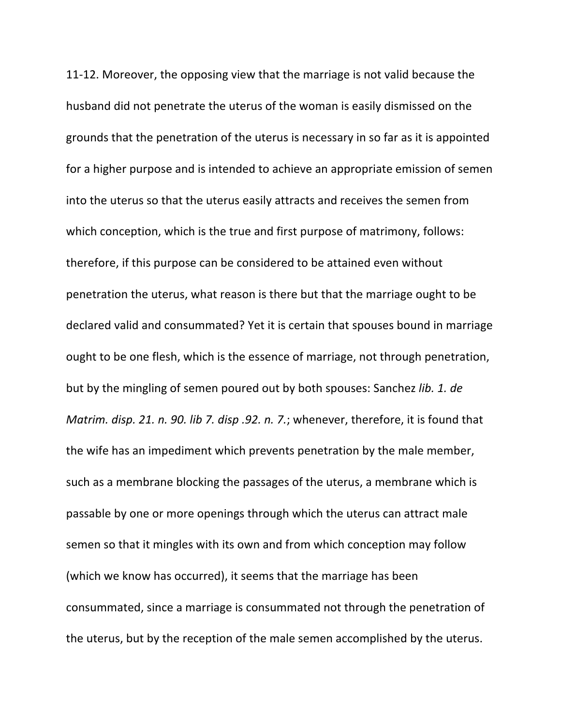11-12. Moreover, the opposing view that the marriage is not valid because the husband did not penetrate the uterus of the woman is easily dismissed on the grounds that the penetration of the uterus is necessary in so far as it is appointed for a higher purpose and is intended to achieve an appropriate emission of semen into the uterus so that the uterus easily attracts and receives the semen from which conception, which is the true and first purpose of matrimony, follows: therefore, if this purpose can be considered to be attained even without penetration the uterus, what reason is there but that the marriage ought to be declared valid and consummated? Yet it is certain that spouses bound in marriage ought to be one flesh, which is the essence of marriage, not through penetration, but by the mingling of semen poured out by both spouses: Sanchez *lib. 1. de Matrim. disp. 21. n. 90. lib 7. disp .92. n. 7.*; whenever, therefore, it is found that the wife has an impediment which prevents penetration by the male member, such as a membrane blocking the passages of the uterus, a membrane which is passable by one or more openings through which the uterus can attract male semen so that it mingles with its own and from which conception may follow (which we know has occurred), it seems that the marriage has been consummated, since a marriage is consummated not through the penetration of the uterus, but by the reception of the male semen accomplished by the uterus.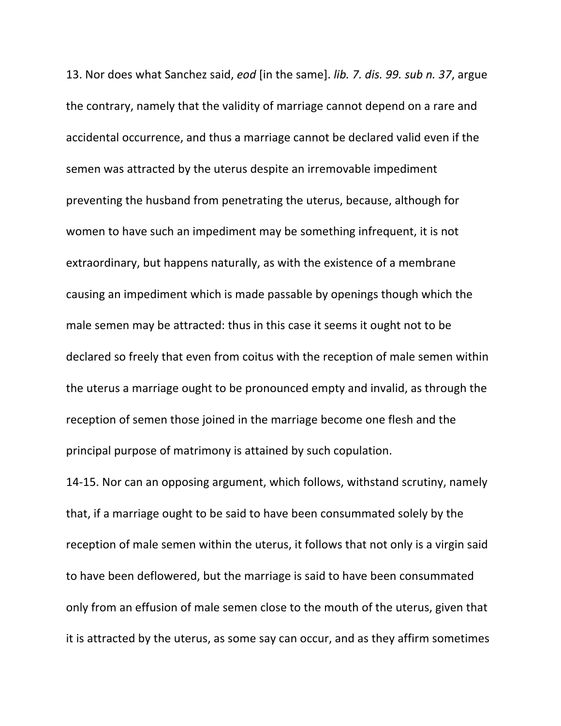13. Nor does what Sanchez said, *eod* [in the same]. *lib. 7. dis. 99. sub n. 37*, argue the contrary, namely that the validity of marriage cannot depend on a rare and accidental occurrence, and thus a marriage cannot be declared valid even if the semen was attracted by the uterus despite an irremovable impediment preventing the husband from penetrating the uterus, because, although for women to have such an impediment may be something infrequent, it is not extraordinary, but happens naturally, as with the existence of a membrane causing an impediment which is made passable by openings though which the male semen may be attracted: thus in this case it seems it ought not to be declared so freely that even from coitus with the reception of male semen within the uterus a marriage ought to be pronounced empty and invalid, as through the reception of semen those joined in the marriage become one flesh and the principal purpose of matrimony is attained by such copulation.

14-15. Nor can an opposing argument, which follows, withstand scrutiny, namely that, if a marriage ought to be said to have been consummated solely by the reception of male semen within the uterus, it follows that not only is a virgin said to have been deflowered, but the marriage is said to have been consummated only from an effusion of male semen close to the mouth of the uterus, given that it is attracted by the uterus, as some say can occur, and as they affirm sometimes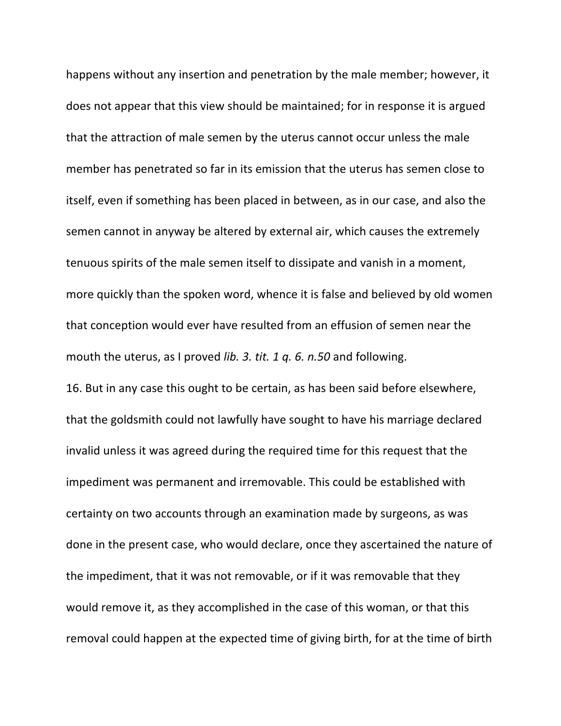happens without any insertion and penetration by the male member; however, it does not appear that this view should be maintained; for in response it is argued that the attraction of male semen by the uterus cannot occur unless the male member has penetrated so far in its emission that the uterus has semen close to itself, even if something has been placed in between, as in our case, and also the semen cannot in anyway be altered by external air, which causes the extremely tenuous spirits of the male semen itself to dissipate and vanish in a moment, more quickly than the spoken word, whence it is false and believed by old women that conception would ever have resulted from an effusion of semen near the mouth the uterus, as I proved *lib. 3. tit. 1 q. 6. n.50* and following.

16. But in any case this ought to be certain, as has been said before elsewhere, that the goldsmith could not lawfully have sought to have his marriage declared invalid unless it was agreed during the required time for this request that the impediment was permanent and irremovable. This could be established with certainty on two accounts through an examination made by surgeons, as was done in the present case, who would declare, once they ascertained the nature of the impediment, that it was not removable, or if it was removable that they would remove it, as they accomplished in the case of this woman, or that this removal could happen at the expected time of giving birth, for at the time of birth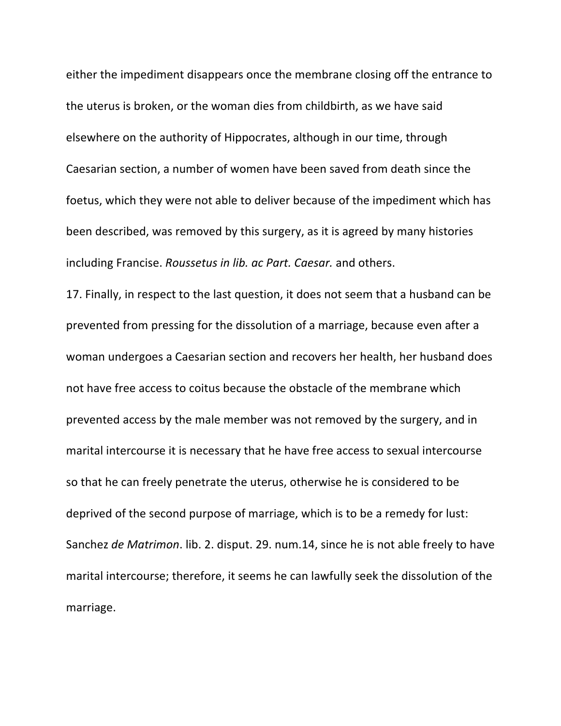either the impediment disappears once the membrane closing off the entrance to the uterus is broken, or the woman dies from childbirth, as we have said elsewhere on the authority of Hippocrates, although in our time, through Caesarian section, a number of women have been saved from death since the foetus, which they were not able to deliver because of the impediment which has been described, was removed by this surgery, as it is agreed by many histories including Francise. *Roussetus in lib. ac Part. Caesar.* and others.

17. Finally, in respect to the last question, it does not seem that a husband can be prevented from pressing for the dissolution of a marriage, because even after a woman undergoes a Caesarian section and recovers her health, her husband does not have free access to coitus because the obstacle of the membrane which prevented access by the male member was not removed by the surgery, and in marital intercourse it is necessary that he have free access to sexual intercourse so that he can freely penetrate the uterus, otherwise he is considered to be deprived of the second purpose of marriage, which is to be a remedy for lust: Sanchez *de Matrimon*. lib. 2. disput. 29. num.14, since he is not able freely to have marital intercourse; therefore, it seems he can lawfully seek the dissolution of the marriage.